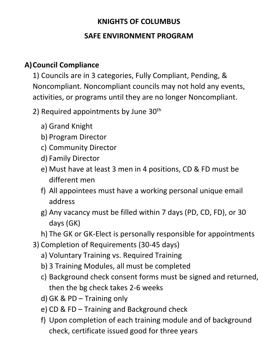## **KNIGHTS OF COLUMBUS SAFE ENVIRONMENT PROGRAM**

## **A)Council Compliance**

1) Councils are in 3 categories, Fully Compliant, Pending, & Noncompliant. Noncompliant councils may not hold any events, activities, or programs until they are no longer Noncompliant.

- 2) Required appointments by June  $30<sup>th</sup>$ 
	- a) Grand Knight
	- b) Program Director
	- c) Community Director
	- d) Family Director
	- e) Must have at least 3 men in 4 positions, CD & FD must be different men
	- f) All appointees must have a working personal unique email address
	- g) Any vacancy must be filled within 7 days (PD, CD, FD), or 30 days (GK)
	- h) The GK or GK-Elect is personally responsible for appointments
- 3) Completion of Requirements (30-45 days)
	- a) Voluntary Training vs. Required Training
	- b) 3 Training Modules, all must be completed
	- c) Background check consent forms must be signed and returned, then the bg check takes 2-6 weeks
	- d) GK & PD Training only
	- e) CD & FD Training and Background check
	- f) Upon completion of each training module and of background check, certificate issued good for three years